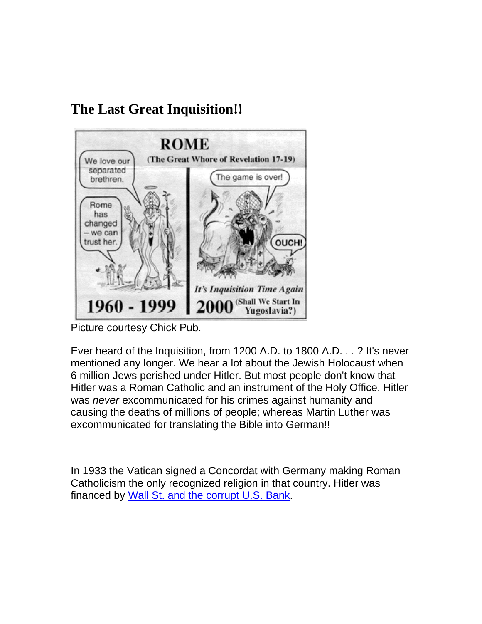## **The Last Great Inquisition!!**



Picture courtesy Chick Pub.

Ever heard of the Inquisition, from 1200 A.D. to 1800 A.D. . . ? It's never mentioned any longer. We hear a lot about the Jewish Holocaust when 6 million Jews perished under Hitler. But most people don't know that Hitler was a Roman Catholic and an instrument of the Holy Office. Hitler was *never* excommunicated for his crimes against humanity and causing the deaths of millions of people; whereas Martin Luther was excommunicated for translating the Bible into German!!

In 1933 the Vatican signed a Concordat with Germany making Roman Catholicism the only recognized religion in that country. Hitler was financed by [Wall St. and the corrupt U.S. Bank.](http://reformed-theology.org/html/books/wall_street/index.html)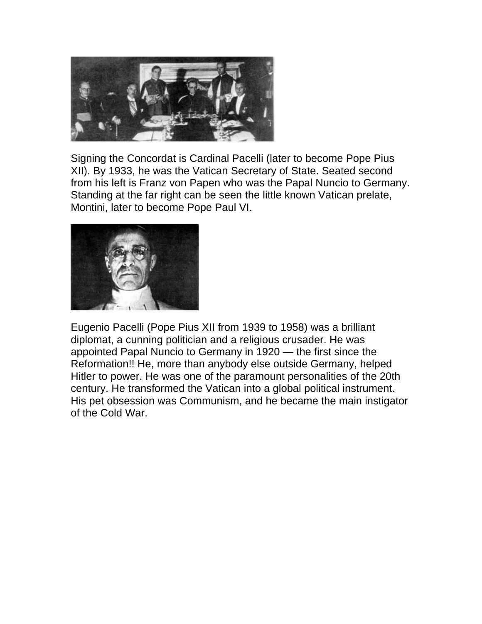

Signing the Concordat is Cardinal Pacelli (later to become Pope Pius XII). By 1933, he was the Vatican Secretary of State. Seated second from his left is Franz von Papen who was the Papal Nuncio to Germany. Standing at the far right can be seen the little known Vatican prelate, Montini, later to become Pope Paul VI.



Eugenio Pacelli (Pope Pius XII from 1939 to 1958) was a brilliant diplomat, a cunning politician and a religious crusader. He was appointed Papal Nuncio to Germany in 1920 — the first since the Reformation!! He, more than anybody else outside Germany, helped Hitler to power. He was one of the paramount personalities of the 20th century. He transformed the Vatican into a global political instrument. His pet obsession was Communism, and he became the main instigator of the Cold War.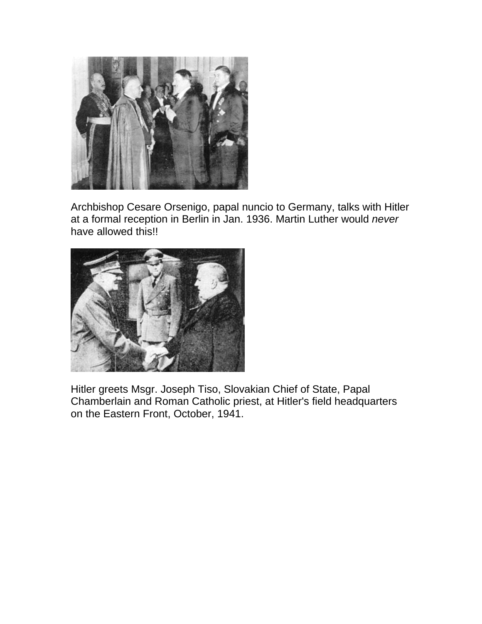

Archbishop Cesare Orsenigo, papal nuncio to Germany, talks with Hitler at a formal reception in Berlin in Jan. 1936. Martin Luther would *never* have allowed this!!



Hitler greets Msgr. Joseph Tiso, Slovakian Chief of State, Papal Chamberlain and Roman Catholic priest, at Hitler's field headquarters on the Eastern Front, October, 1941.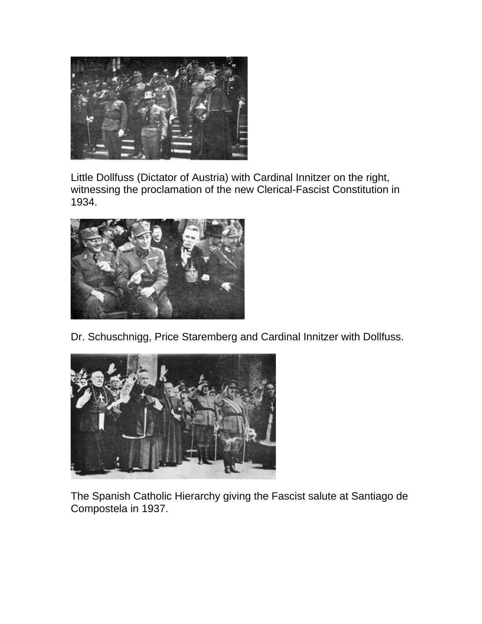

Little Dollfuss (Dictator of Austria) with Cardinal Innitzer on the right, witnessing the proclamation of the new Clerical-Fascist Constitution in 1934.



Dr. Schuschnigg, Price Staremberg and Cardinal Innitzer with Dollfuss.



The Spanish Catholic Hierarchy giving the Fascist salute at Santiago de Compostela in 1937.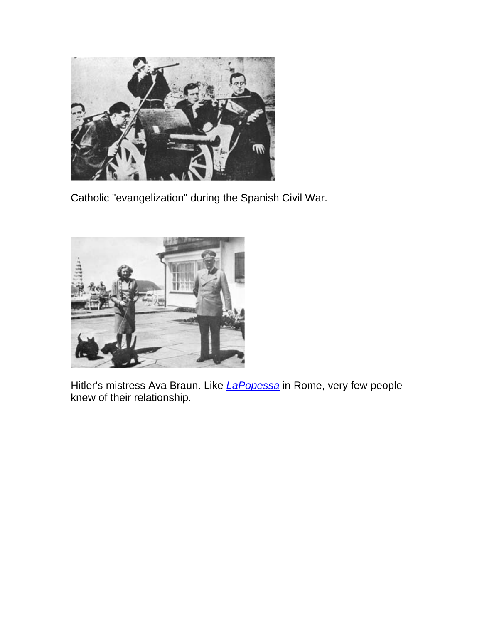

Catholic "evangelization" during the Spanish Civil War.



Hitler's mistress Ava Braun. Like *[LaPopessa](http://www.reformation.org/palace.html)* in Rome, very few people knew of their relationship.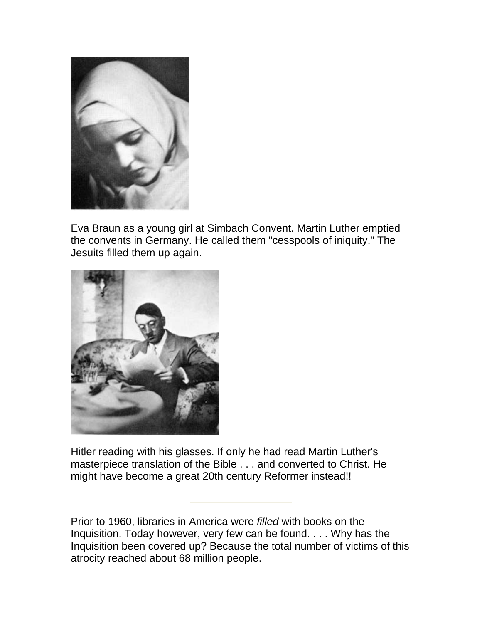

Eva Braun as a young girl at Simbach Convent. Martin Luther emptied the convents in Germany. He called them "cesspools of iniquity." The Jesuits filled them up again.



Hitler reading with his glasses. If only he had read Martin Luther's masterpiece translation of the Bible . . . and converted to Christ. He might have become a great 20th century Reformer instead!!

Prior to 1960, libraries in America were *filled* with books on the Inquisition. Today however, very few can be found. . . . Why has the Inquisition been covered up? Because the total number of victims of this atrocity reached about 68 million people.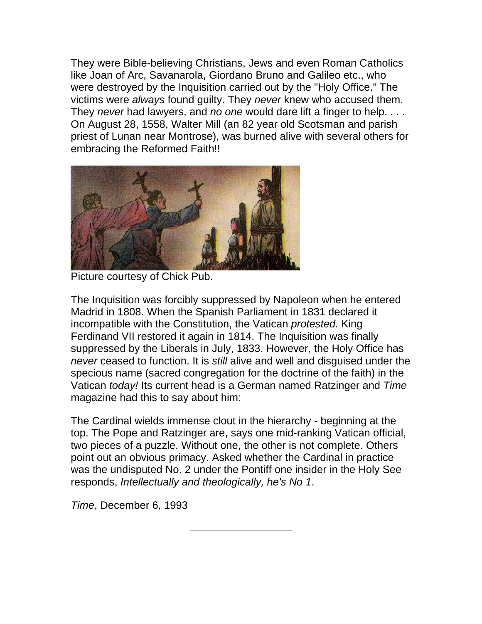They were Bible-believing Christians, Jews and even Roman Catholics like Joan of Arc, Savanarola, Giordano Bruno and Galileo etc., who were destroyed by the Inquisition carried out by the "Holy Office." The victims were *always* found guilty. They *never* knew who accused them. They *never* had lawyers, and *no one* would dare lift a finger to help. . . . On August 28, 1558, Walter Mill (an 82 year old Scotsman and parish priest of Lunan near Montrose), was burned alive with several others for embracing the Reformed Faith!!



Picture courtesy of Chick Pub.

The Inquisition was forcibly suppressed by Napoleon when he entered Madrid in 1808. When the Spanish Parliament in 1831 declared it incompatible with the Constitution, the Vatican *protested.* King Ferdinand VII restored it again in 1814. The Inquisition was finally suppressed by the Liberals in July, 1833. However, the Holy Office has *never* ceased to function. It is *still* alive and well and disguised under the specious name (sacred congregation for the doctrine of the faith) in the Vatican *today!* Its current head is a German named Ratzinger and *Time*  magazine had this to say about him:

The Cardinal wields immense clout in the hierarchy - beginning at the top. The Pope and Ratzinger are, says one mid-ranking Vatican official, two pieces of a puzzle. Without one, the other is not complete. Others point out an obvious primacy. Asked whether the Cardinal in practice was the undisputed No. 2 under the Pontiff one insider in the Holy See responds, *Intellectually and theologically, he's No 1*.

*Time*, December 6, 1993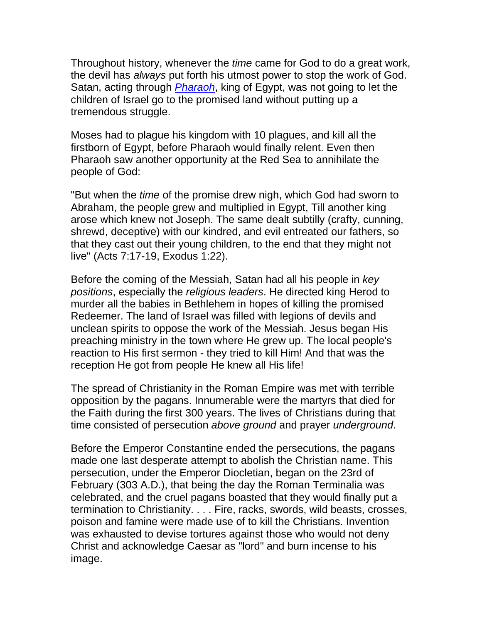Throughout history, whenever the *time* came for God to do a great work, the devil has *always* put forth his utmost power to stop the work of God. Satan, acting through *[Pharaoh](http://www.reformation.org/pharaoh.html)*, king of Egypt, was not going to let the children of Israel go to the promised land without putting up a tremendous struggle.

Moses had to plague his kingdom with 10 plagues, and kill all the firstborn of Egypt, before Pharaoh would finally relent. Even then Pharaoh saw another opportunity at the Red Sea to annihilate the people of God:

"But when the *time* of the promise drew nigh, which God had sworn to Abraham, the people grew and multiplied in Egypt, Till another king arose which knew not Joseph. The same dealt subtilly (crafty, cunning, shrewd, deceptive) with our kindred, and evil entreated our fathers, so that they cast out their young children, to the end that they might not live" (Acts 7:17-19, Exodus 1:22).

Before the coming of the Messiah, Satan had all his people in *key positions*, especially the *religious leaders*. He directed king Herod to murder all the babies in Bethlehem in hopes of killing the promised Redeemer. The land of Israel was filled with legions of devils and unclean spirits to oppose the work of the Messiah. Jesus began His preaching ministry in the town where He grew up. The local people's reaction to His first sermon - they tried to kill Him! And that was the reception He got from people He knew all His life!

The spread of Christianity in the Roman Empire was met with terrible opposition by the pagans. Innumerable were the martyrs that died for the Faith during the first 300 years. The lives of Christians during that time consisted of persecution *above ground* and prayer *underground*.

Before the Emperor Constantine ended the persecutions, the pagans made one last desperate attempt to abolish the Christian name. This persecution, under the Emperor Diocletian, began on the 23rd of February (303 A.D.), that being the day the Roman Terminalia was celebrated, and the cruel pagans boasted that they would finally put a termination to Christianity. . . . Fire, racks, swords, wild beasts, crosses, poison and famine were made use of to kill the Christians. Invention was exhausted to devise tortures against those who would not deny Christ and acknowledge Caesar as "lord" and burn incense to his image.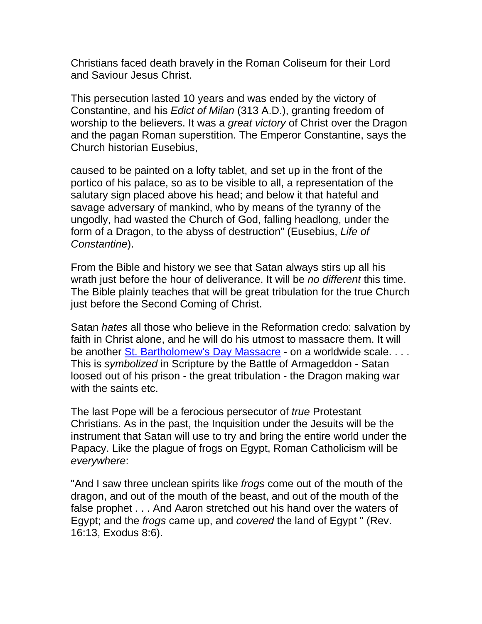Christians faced death bravely in the Roman Coliseum for their Lord and Saviour Jesus Christ.

This persecution lasted 10 years and was ended by the victory of Constantine, and his *Edict of Milan* (313 A.D.), granting freedom of worship to the believers. It was a *great victory* of Christ over the Dragon and the pagan Roman superstition. The Emperor Constantine, says the Church historian Eusebius,

caused to be painted on a lofty tablet, and set up in the front of the portico of his palace, so as to be visible to all, a representation of the salutary sign placed above his head; and below it that hateful and savage adversary of mankind, who by means of the tyranny of the ungodly, had wasted the Church of God, falling headlong, under the form of a Dragon, to the abyss of destruction" (Eusebius, *Life of Constantine*).

From the Bible and history we see that Satan always stirs up all his wrath just before the hour of deliverance. It will be *no different* this time. The Bible plainly teaches that will be great tribulation for the true Church just before the Second Coming of Christ.

Satan *hates* all those who believe in the Reformation credo: salvation by faith in Christ alone, and he will do his utmost to massacre them. It will be another [St. Bartholomew's Day Massacre](http://www.reformation.org/bart.html) - on a worldwide scale.... This is *symbolized* in Scripture by the Battle of Armageddon - Satan loosed out of his prison - the great tribulation - the Dragon making war with the saints etc.

The last Pope will be a ferocious persecutor of *true* Protestant Christians. As in the past, the Inquisition under the Jesuits will be the instrument that Satan will use to try and bring the entire world under the Papacy. Like the plague of frogs on Egypt, Roman Catholicism will be *everywhere*:

"And I saw three unclean spirits like *frogs* come out of the mouth of the dragon, and out of the mouth of the beast, and out of the mouth of the false prophet . . . And Aaron stretched out his hand over the waters of Egypt; and the *frogs* came up, and *covered* the land of Egypt " (Rev. 16:13, Exodus 8:6).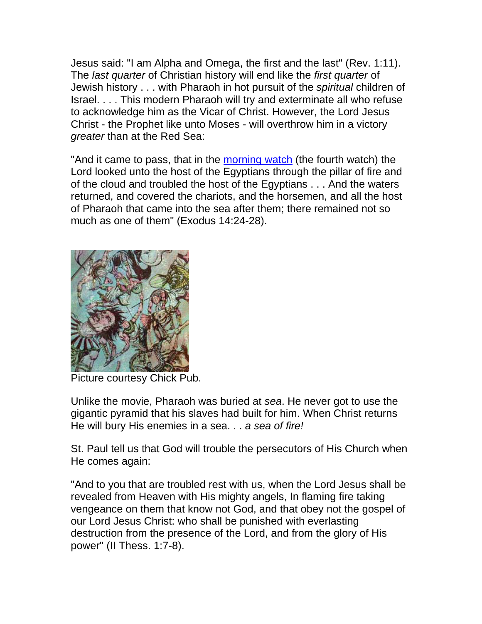Jesus said: "I am Alpha and Omega, the first and the last" (Rev. 1:11). The *last quarter* of Christian history will end like the *first quarter* of Jewish history . . . with Pharaoh in hot pursuit of the *spiritual* children of Israel. . . . This modern Pharaoh will try and exterminate all who refuse to acknowledge him as the Vicar of Christ. However, the Lord Jesus Christ - the Prophet like unto Moses - will overthrow him in a victory *greater* than at the Red Sea:

"And it came to pass, that in the [morning watch](http://www.reformation.org/chronew.html) (the fourth watch) the Lord looked unto the host of the Egyptians through the pillar of fire and of the cloud and troubled the host of the Egyptians . . . And the waters returned, and covered the chariots, and the horsemen, and all the host of Pharaoh that came into the sea after them; there remained not so much as one of them" (Exodus 14:24-28).



Picture courtesy Chick Pub.

Unlike the movie, Pharaoh was buried at *sea*. He never got to use the gigantic pyramid that his slaves had built for him. When Christ returns He will bury His enemies in a sea. . . *a sea of fire!*

St. Paul tell us that God will trouble the persecutors of His Church when He comes again:

"And to you that are troubled rest with us, when the Lord Jesus shall be revealed from Heaven with His mighty angels, In flaming fire taking vengeance on them that know not God, and that obey not the gospel of our Lord Jesus Christ: who shall be punished with everlasting destruction from the presence of the Lord, and from the glory of His power" (II Thess. 1:7-8).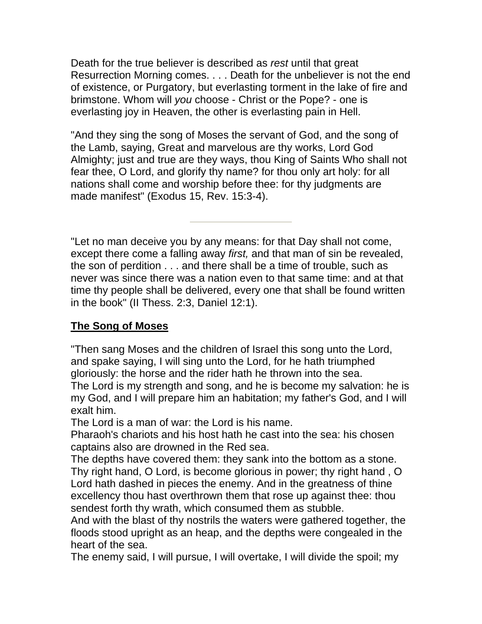Death for the true believer is described as *rest* until that great Resurrection Morning comes. . . . Death for the unbeliever is not the end of existence, or Purgatory, but everlasting torment in the lake of fire and brimstone. Whom will *you* choose - Christ or the Pope? - one is everlasting joy in Heaven, the other is everlasting pain in Hell.

"And they sing the song of Moses the servant of God, and the song of the Lamb, saying, Great and marvelous are thy works, Lord God Almighty; just and true are they ways, thou King of Saints Who shall not fear thee, O Lord, and glorify thy name? for thou only art holy: for all nations shall come and worship before thee: for thy judgments are made manifest" (Exodus 15, Rev. 15:3-4).

"Let no man deceive you by any means: for that Day shall not come, except there come a falling away *first,* and that man of sin be revealed, the son of perdition . . . and there shall be a time of trouble, such as never was since there was a nation even to that same time: and at that time thy people shall be delivered, every one that shall be found written in the book" (II Thess. 2:3, Daniel 12:1).

## **The Song of Moses**

"Then sang Moses and the children of Israel this song unto the Lord, and spake saying, I will sing unto the Lord, for he hath triumphed gloriously: the horse and the rider hath he thrown into the sea. The Lord is my strength and song, and he is become my salvation: he is my God, and I will prepare him an habitation; my father's God, and I will exalt him.

The Lord is a man of war: the Lord is his name.

Pharaoh's chariots and his host hath he cast into the sea: his chosen captains also are drowned in the Red sea.

The depths have covered them: they sank into the bottom as a stone. Thy right hand, O Lord, is become glorious in power; thy right hand , O Lord hath dashed in pieces the enemy. And in the greatness of thine excellency thou hast overthrown them that rose up against thee: thou sendest forth thy wrath, which consumed them as stubble.

And with the blast of thy nostrils the waters were gathered together, the floods stood upright as an heap, and the depths were congealed in the heart of the sea.

The enemy said, I will pursue, I will overtake, I will divide the spoil; my